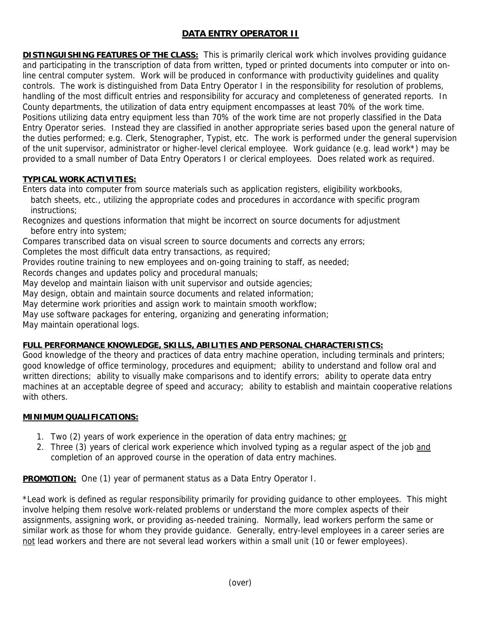# **DATA ENTRY OPERATOR II**

**DISTINGUISHING FEATURES OF THE CLASS:** This is primarily clerical work which involves providing guidance and participating in the transcription of data from written, typed or printed documents into computer or into online central computer system. Work will be produced in conformance with productivity guidelines and quality controls. The work is distinguished from Data Entry Operator I in the responsibility for resolution of problems, handling of the most difficult entries and responsibility for accuracy and completeness of generated reports. In County departments, the utilization of data entry equipment encompasses at least 70% of the work time. Positions utilizing data entry equipment less than 70% of the work time are not properly classified in the Data Entry Operator series. Instead they are classified in another appropriate series based upon the general nature of the duties performed; e.g. Clerk, Stenographer, Typist, etc. The work is performed under the general supervision of the unit supervisor, administrator or higher-level clerical employee. Work guidance (e.g. lead work\*) may be provided to a small number of Data Entry Operators I or clerical employees. Does related work as required.

## **TYPICAL WORK ACTIVITIES:**

Enters data into computer from source materials such as application registers, eligibility workbooks, batch sheets, etc., utilizing the appropriate codes and procedures in accordance with specific program instructions;

Recognizes and questions information that might be incorrect on source documents for adjustment before entry into system;

Compares transcribed data on visual screen to source documents and corrects any errors;

Completes the most difficult data entry transactions, as required;

Provides routine training to new employees and on-going training to staff, as needed;

Records changes and updates policy and procedural manuals;

May develop and maintain liaison with unit supervisor and outside agencies;

May design, obtain and maintain source documents and related information;

May determine work priorities and assign work to maintain smooth workflow;

May use software packages for entering, organizing and generating information;

May maintain operational logs.

## **FULL PERFORMANCE KNOWLEDGE, SKILLS, ABILITIES AND PERSONAL CHARACTERISTICS:**

Good knowledge of the theory and practices of data entry machine operation, including terminals and printers; good knowledge of office terminology, procedures and equipment; ability to understand and follow oral and written directions; ability to visually make comparisons and to identify errors; ability to operate data entry machines at an acceptable degree of speed and accuracy; ability to establish and maintain cooperative relations with others.

## **MINIMUM QUALIFICATIONS:**

- 1. Two (2) years of work experience in the operation of data entry machines; or
- 2. Three (3) years of clerical work experience which involved typing as a regular aspect of the job and completion of an approved course in the operation of data entry machines.

**PROMOTION:** One (1) year of permanent status as a Data Entry Operator I.

\*Lead work is defined as regular responsibility primarily for providing guidance to other employees. This might involve helping them resolve work-related problems or understand the more complex aspects of their assignments, assigning work, or providing as-needed training. Normally, lead workers perform the same or similar work as those for whom they provide guidance. Generally, entry-level employees in a career series are not lead workers and there are not several lead workers within a small unit (10 or fewer employees).